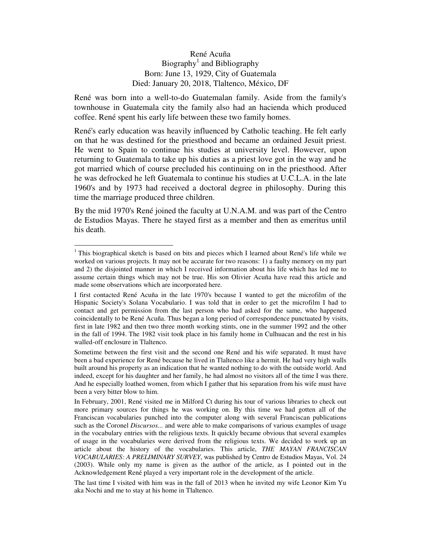## René Acuña Biography<sup>1</sup> and Bibliography Born: June 13, 1929, City of Guatemala Died: January 20, 2018, Tlaltenco, México, DF

René was born into a well-to-do Guatemalan family. Aside from the family's townhouse in Guatemala city the family also had an hacienda which produced coffee. René spent his early life between these two family homes.

René's early education was heavily influenced by Catholic teaching. He felt early on that he was destined for the priesthood and became an ordained Jesuit priest. He went to Spain to continue his studies at university level. However, upon returning to Guatemala to take up his duties as a priest love got in the way and he got married which of course precluded his continuing on in the priesthood. After he was defrocked he left Guatemala to continue his studies at U.C.L.A. in the late 1960's and by 1973 had received a doctoral degree in philosophy. During this time the marriage produced three children.

By the mid 1970's René joined the faculty at U.N.A.M. and was part of the Centro de Estudios Mayas. There he stayed first as a member and then as emeritus until his death.

<u>.</u>

<sup>&</sup>lt;sup>1</sup> This biographical sketch is based on bits and pieces which I learned about René's life while we worked on various projects. It may not be accurate for two reasons: 1) a faulty memory on my part and 2) the disjointed manner in which I received information about his life which has led me to assume certain things which may not be true. His son Olivier Acuña have read this article and made some observations which are incorporated here.

I first contacted René Acuña in the late 1970's because I wanted to get the microfilm of the Hispanic Society's Solana Vocabulario. I was told that in order to get the microfilm I had to contact and get permission from the last person who had asked for the same, who happened coincidentally to be René Acuña. Thus began a long period of correspondence punctuated by visits, first in late 1982 and then two three month working stints, one in the summer 1992 and the other in the fall of 1994. The 1982 visit took place in his family home in Culhuacan and the rest in his walled-off enclosure in Tlaltenco.

Sometime between the first visit and the second one René and his wife separated. It must have been a bad experience for René because he lived in Tlaltenco like a hermit. He had very high walls built around his property as an indication that he wanted nothing to do with the outside world. And indeed, except for his daughter and her family, he had almost no visitors all of the time I was there. And he especially loathed women, from which I gather that his separation from his wife must have been a very bitter blow to him.

In February, 2001, René visited me in Milford Ct during his tour of various libraries to check out more primary sources for things he was working on. By this time we had gotten all of the Franciscan vocabularies punched into the computer along with several Franciscan publications such as the Coronel *Discursos...* and were able to make comparisons of various examples of usage in the vocabulary entries with the religious texts. It quickly became obvious that several examples of usage in the vocabularies were derived from the religious texts. We decided to work up an article about the history of the vocabularies. This article, *THE MAYAN FRANCISCAN VOCABULARIES: A PRELIMINARY SURVEY*, was published by Centro de Estudios Mayas, Vol. 24 (2003). While only my name is given as the author of the article, as I pointed out in the Acknowledgement René played a very important role in the development of the article.

The last time I visited with him was in the fall of 2013 when he invited my wife Leonor Kim Yu aka Nochi and me to stay at his home in Tlaltenco.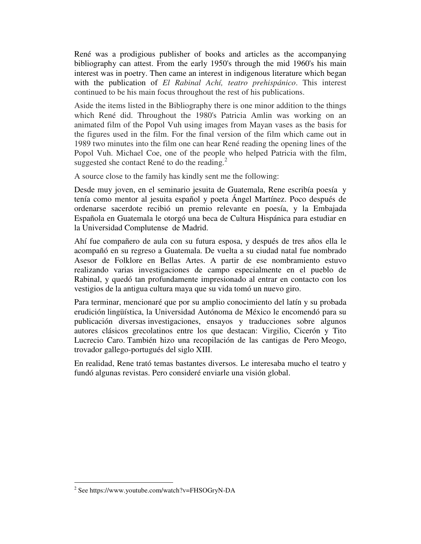René was a prodigious publisher of books and articles as the accompanying bibliography can attest. From the early 1950's through the mid 1960's his main interest was in poetry. Then came an interest in indigenous literature which began with the publication of *El Rabinal Achí, teatro prehispánico*. This interest continued to be his main focus throughout the rest of his publications.

Aside the items listed in the Bibliography there is one minor addition to the things which René did. Throughout the 1980's Patricia Amlin was working on an animated film of the Popol Vuh using images from Mayan vases as the basis for the figures used in the film. For the final version of the film which came out in 1989 two minutes into the film one can hear René reading the opening lines of the Popol Vuh. Michael Coe, one of the people who helped Patricia with the film, suggested she contact René to do the reading. $^{2}$ 

A source close to the family has kindly sent me the following:

Desde muy joven, en el seminario jesuita de Guatemala, Rene escribía poesía y tenía como mentor al jesuita español y poeta Ángel Martínez. Poco después de ordenarse sacerdote recibió un premio relevante en poesía, y la Embajada Española en Guatemala le otorgó una beca de Cultura Hispánica para estudiar en la Universidad Complutense de Madrid.

Ahí fue compañero de aula con su futura esposa, y después de tres años ella le acompañó en su regreso a Guatemala. De vuelta a su ciudad natal fue nombrado Asesor de Folklore en Bellas Artes. A partir de ese nombramiento estuvo realizando varias investigaciones de campo especialmente en el pueblo de Rabinal, y quedó tan profundamente impresionado al entrar en contacto con los vestigios de la antigua cultura maya que su vida tomó un nuevo giro.

Para terminar, mencionaré que por su amplio conocimiento del latín y su probada erudición lingüística, la Universidad Autónoma de México le encomendó para su publicación diversas investigaciones, ensayos y traducciones sobre algunos autores clásicos grecolatinos entre los que destacan: Virgilio, Cicerón y Tito Lucrecio Caro. También hizo una recopilación de las cantigas de Pero Meogo, trovador gallego-portugués del siglo XIII.

En realidad, Rene trató temas bastantes diversos. Le interesaba mucho el teatro y fundó algunas revistas. Pero consideré enviarle una visión global.

1

<sup>2</sup> See https://www.youtube.com/watch?v=FHSOGryN-DA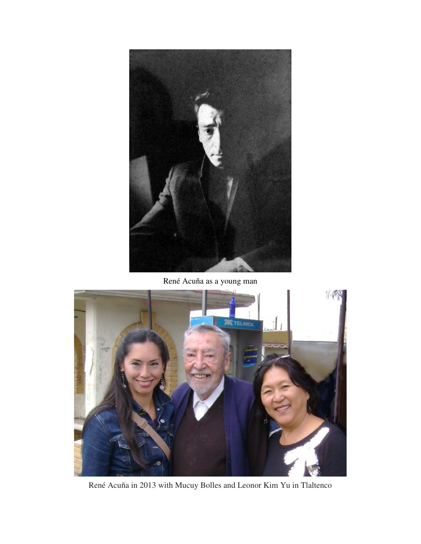

René Acuña as a young man



René Acuña in 2013 with Mucuy Bolles and Leonor Kim Yu in Tlaltenco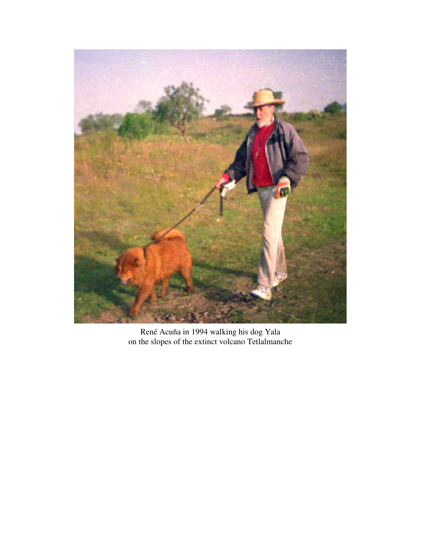

René Acuña in 1994 walking his dog Yala on the slopes of the extinct volcano Tetlalmanche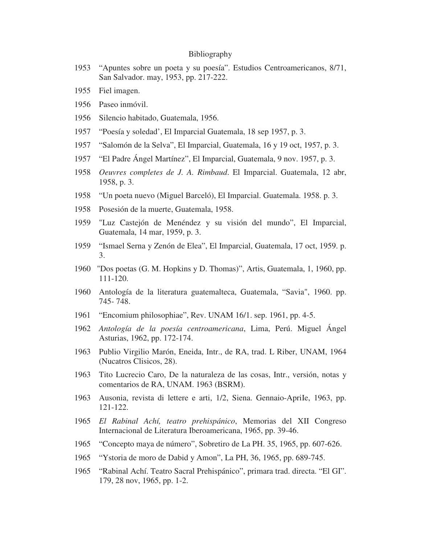## Bibliography

- 1953 "Apuntes sobre un poeta y su poesía". Estudios Centroamericanos, 8/71, San Salvador. may, 1953, pp. 217-222.
- 1955 Fiel imagen.
- 1956 Paseo inmóvil.
- 1956 Silencio habitado, Guatemala, 1956.
- 1957 "Poesía y soledad', El Imparcial Guatemala, 18 sep 1957, p. 3.
- 1957 "Salomón de la Selva", El Imparcial, Guatemala, 16 y 19 oct, 1957, p. 3.
- 1957 "El Padre Ángel Martínez", El Imparcial, Guatemala, 9 nov. 1957, p. 3.
- 1958 *Oeuvres completes de J. A. Rimbaud*. El Imparcial. Guatemala, 12 abr, 1958, p. 3.
- 1958 "Un poeta nuevo (Miguel Barceló), El Imparcial. Guatemala. 1958. p. 3.
- 1958 Posesión de la muerte, Guatemala, 1958.
- 1959 "Luz Castejón de Menéndez y su visión del mundo", El Imparcial, Guatemala, 14 mar, 1959, p. 3.
- 1959 "Ismael Serna y Zenón de Elea", El Imparcial, Guatemala, 17 oct, 1959. p. 3.
- 1960 "Dos poetas (G. M. Hopkins y D. Thomas)", Artis, Guatemala, 1, 1960, pp. 111-120.
- 1960 Antología de la literatura guatemalteca, Guatemala, "Savia", 1960. pp. 745- 748.
- 1961 "Encomium philosophiae", Rev. UNAM 16/1. sep. 1961, pp. 4-5.
- 1962 *Antología de la poesía centroamericana*, Lima, Perú. Miguel Ángel Asturias, 1962, pp. 172-174.
- 1963 Publio Virgilio Marón, Eneida, Intr., de RA, trad. L Riber, UNAM, 1964 (Nucatros Clisicos, 28).
- 1963 Tito Lucrecio Caro, De la naturaleza de las cosas, Intr., versión, notas y comentarios de RA, UNAM. 1963 (BSRM).
- 1963 Ausonia, revista di lettere e arti, 1/2, Siena. Gennaio-ApriIe, 1963, pp. 121-122.
- 1965 *El Rabinal Achí, teatro prehispánico*, Memorias del XII Congreso Internacional de Literatura Iberoamericana, 1965, pp. 39-46.
- 1965 "Concepto maya de número", Sobretiro de La PH. 35, 1965, pp. 607-626.
- 1965 "Ystoria de moro de Dabid y Amon", La PH, 36, 1965, pp. 689-745.
- 1965 "Rabinal Achí. Teatro Sacral Prehispánico", primara trad. directa. "El GI". 179, 28 nov, 1965, pp. 1-2.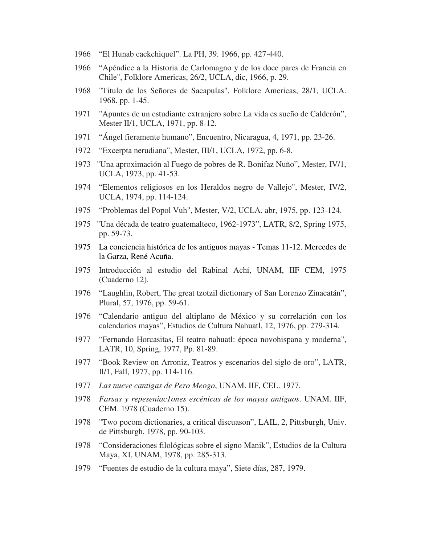- 1966 "El Hunab cackchiquel". La PH, 39. 1966, pp. 427-440.
- 1966 "Apéndice a la Historia de Carlomagno y de los doce pares de Francia en Chile", Folklore Americas, 26/2, UCLA, dic, 1966, p. 29.
- 1968 "Titulo de los Señores de Sacapulas", Folklore Americas, 28/1, UCLA. 1968. pp. 1-45.
- 1971 "Apuntes de un estudiante extranjero sobre La vida es sueño de Caldcrón", Mester II/1, UCLA, 1971, pp. 8-12.
- 1971 "Ángel fieramente humano", Encuentro, Nicaragua, 4, 1971, pp. 23-26.
- 1972 "Excerpta nerudiana", Mester, III/1, UCLA, 1972, pp. 6-8.
- 1973 "Una aproximación al Fuego de pobres de R. Bonifaz Nuño", Mester, IV/1, UCLA, 1973, pp. 41-53.
- 1974 "Elementos religiosos en los Heraldos negro de Vallejo", Mester, IV/2, UCLA, 1974, pp. 114-124.
- 1975 "Problemas del Popol Vuh", Mester, V/2, UCLA. abr, 1975, pp. 123-124.
- 1975 "Una década de teatro guatemalteco, 1962-1973", LATR, 8/2, Spring 1975, pp. 59-73.
- 1975 La conciencia histórica de los antiguos mayas Temas 11-12. Mercedes de la Garza, René Acuña.
- 1975 Introducción al estudio del Rabinal Achí, UNAM, IIF CEM, 1975 (Cuaderno 12).
- 1976 "Laughlin, Robert, The great tzotzil dictionary of San Lorenzo Zinacatán", Plural, 57, 1976, pp. 59-61.
- 1976 "Calendario antiguo del altiplano de México y su correlación con los calendarios mayas", Estudios de Cultura Nahuatl, 12, 1976, pp. 279-314.
- 1977 "Fernando Horcasitas, El teatro nahuatl: época novohispana y moderna", LATR, 10, Spring, 1977, Pp. 81-89.
- 1977 "Book Review on Arroniz, Teatros y escenarios del siglo de oro", LATR, Il/1, Fall, 1977, pp. 114-116.
- 1977 *Las nueve cantigas de Pero Meogo*, UNAM. IIF, CEL. 1977.
- 1978 *Farsas y repeseniac1ones escénicas de los mayas antiguos*. UNAM. IIF, CEM. 1978 (Cuaderno 15).
- 1978 "Two pocom dictionaries, a critical discuason", LAIL, 2, Pittsburgh, Univ. de Pittsburgh, 1978, pp. 90-103.
- 1978 "Consideraciones filológicas sobre el signo Manik", Estudios de la Cultura Maya, XI, UNAM, 1978, pp. 285-313.
- 1979 "Fuentes de estudio de la cultura maya", Siete días, 287, 1979.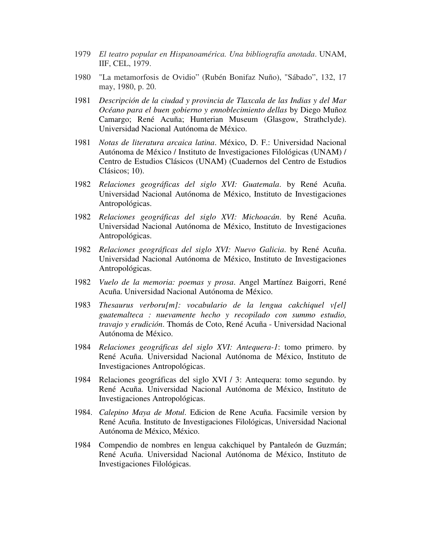- 1979 *El teatro popular en Hispanoamérica. Una bibliografía anotada*. UNAM, IIF, CEL, 1979.
- 1980 "La metamorfosis de Ovidio" (Rubén Bonifaz Nuño), "Sábado", 132, 17 may, 1980, p. 20.
- 1981 *Descripción de la ciudad y provincia de Tlaxcala de las Indias y del Mar Océano para el buen gobierno y ennoblecimiento dellas* by Diego Muñoz Camargo; René Acuña; Hunterian Museum (Glasgow, Strathclyde). Universidad Nacional Autónoma de México.
- 1981 *Notas de literatura arcaica latina*. México, D. F.: Universidad Nacional Autónoma de México / Instituto de Investigaciones Filológicas (UNAM) / Centro de Estudios Clásicos (UNAM) (Cuadernos del Centro de Estudios Clásicos; 10).
- 1982 *Relaciones geográficas del siglo XVI: Guatemala*. by René Acuña. Universidad Nacional Autónoma de México, Instituto de Investigaciones Antropológicas.
- 1982 *Relaciones geográficas del siglo XVI: Michoacán*. by René Acuña. Universidad Nacional Autónoma de México, Instituto de Investigaciones Antropológicas.
- 1982 *Relaciones geográficas del siglo XVI: Nuevo Galicia*. by René Acuña. Universidad Nacional Autónoma de México, Instituto de Investigaciones Antropológicas.
- 1982 *Vuelo de la memoria: poemas y prosa*. Angel Martínez Baigorri, René Acuña. Universidad Nacional Autónoma de México.
- 1983 *Thesaurus verboru[m]: vocabulario de la lengua cakchiquel v[el] guatemalteca : nuevamente hecho y recopilado con summo estudio, travajo y erudición*. Thomás de Coto, René Acuña - Universidad Nacional Autónoma de México.
- 1984 *Relaciones geográficas del siglo XVI: Antequera-1*: tomo primero. by René Acuña. Universidad Nacional Autónoma de México, Instituto de Investigaciones Antropológicas.
- 1984 Relaciones geográficas del siglo XVI / 3: Antequera: tomo segundo. by René Acuña. Universidad Nacional Autónoma de México, Instituto de Investigaciones Antropológicas.
- 1984. *Calepino Maya de Motul*. Edicion de Rene Acuña. Facsimile version by René Acuña. Instituto de Investigaciones Filológicas, Universidad Nacional Autónoma de México, México.
- 1984 Compendio de nombres en lengua cakchiquel by Pantaleón de Guzmán; René Acuña. Universidad Nacional Autónoma de México, Instituto de Investigaciones Filológicas.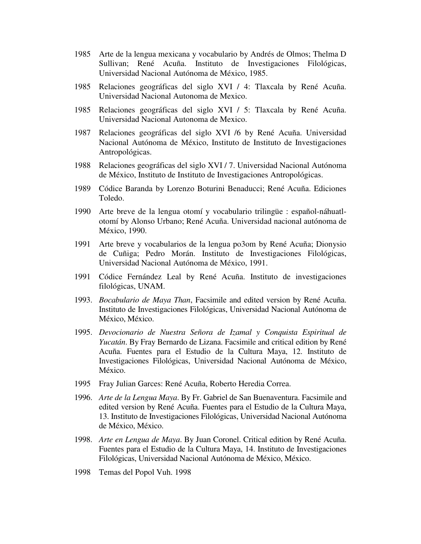- 1985 Arte de la lengua mexicana y vocabulario by Andrés de Olmos; Thelma D Sullivan; René Acuña. Instituto de Investigaciones Filológicas, Universidad Nacional Autónoma de México, 1985.
- 1985 Relaciones geográficas del siglo XVI / 4: Tlaxcala by René Acuña. Universidad Nacional Autonoma de Mexico.
- 1985 Relaciones geográficas del siglo XVI / 5: Tlaxcala by René Acuña. Universidad Nacional Autonoma de Mexico.
- 1987 Relaciones geográficas del siglo XVI /6 by René Acuña. Universidad Nacional Autónoma de México, Instituto de Instituto de Investigaciones Antropológicas.
- 1988 Relaciones geográficas del siglo XVI / 7. Universidad Nacional Autónoma de México, Instituto de Instituto de Investigaciones Antropológicas.
- 1989 Códice Baranda by Lorenzo Boturini Benaducci; René Acuña. Ediciones Toledo.
- 1990 Arte breve de la lengua otomí y vocabulario trilingüe : español-náhuatlotomí by Alonso Urbano; René Acuña. Universidad nacional autónoma de México, 1990.
- 1991 Arte breve y vocabularios de la lengua po3om by René Acuña; Dionysio de Cuñiga; Pedro Morán. Instituto de Investigaciones Filológicas, Universidad Nacional Autónoma de México, 1991.
- 1991 Códice Fernández Leal by René Acuña. Instituto de investigaciones filológicas, UNAM.
- 1993. *Bocabulario de Maya Than*, Facsimile and edited version by René Acuña. Instituto de Investigaciones Filológicas, Universidad Nacional Autónoma de México, México.
- 1995. *Devocionario de Nuestra Señora de Izamal y Conquista Espiritual de Yucatán*. By Fray Bernardo de Lizana. Facsimile and critical edition by René Acuña. Fuentes para el Estudio de la Cultura Maya, 12. Instituto de Investigaciones Filológicas, Universidad Nacional Autónoma de México, México.
- 1995 Fray Julian Garces: René Acuña, Roberto Heredia Correa.
- 1996. *Arte de la Lengua Maya*. By Fr. Gabriel de San Buenaventura. Facsimile and edited version by René Acuña. Fuentes para el Estudio de la Cultura Maya, 13. Instituto de Investigaciones Filológicas, Universidad Nacional Autónoma de México, México.
- 1998. *Arte en Lengua de Maya*. By Juan Coronel. Critical edition by René Acuña. Fuentes para el Estudio de la Cultura Maya, 14. Instituto de Investigaciones Filológicas, Universidad Nacional Autónoma de México, México.
- 1998 Temas del Popol Vuh. 1998